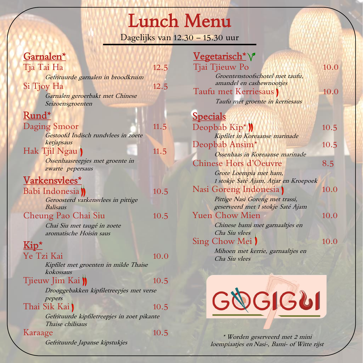# Lunch Menu

Dagelijks van 12.30 – 15.30 uur

 $V_{\text{excessical}}$ 

 $10.0$ 

 $10.0$ 

 $10.5$ 

 $10.5$ 

 $10.0$ 

 $10.0$ 

 $10.0$ 

### Garnalen\*

| Garnaien                                                        |      | <u>vegetalistii</u> v                       |     |
|-----------------------------------------------------------------|------|---------------------------------------------|-----|
| Tja Tai Ha                                                      | 12.5 | Tjai Tjieuw Po                              | 10. |
| Gefrituurde garnalen in broodkruim                              |      | Groentenstoofschotel met taufu,             |     |
| Si Tjoy Ha                                                      | 12.5 | amandel en cashewnootjes                    |     |
| Garnalen geroerbakt met Chinese                                 |      | Taufu met Kerriesaus                        | 10. |
| Seizoensgroenten                                                |      | Taufu met groente in kerriesaus             |     |
| Rund*                                                           |      | <b>Specials</b>                             |     |
| Daging Smoor                                                    | 11.5 | Deopbab Kip <sup>*</sup>                    | 10. |
| Gestoofd Indisch rundvlees in zoete                             |      | Kipfilet in Koreaanse marinade              |     |
| ketjapsaus                                                      |      | Deopbab Ansim <sup>*</sup>                  | 10. |
| Hak Tjil Ngau                                                   | 11.5 | Ossenhaas in Koreaanse marinade             |     |
| Ossenhaasreepjes met groente in                                 |      | <b>Chinese Hors d'Oeuvre</b>                | 8.5 |
| zwarte pepersaus                                                |      | Grote Loempia met ham,                      |     |
| Varkensvlees*                                                   |      | 1 stokje Saté Ajam, Atjar en Kroepoek       |     |
| Babi Indonesia                                                  | 10.5 | Nasi Goreng Indonesia                       | 10. |
| Geroosterd varkensvlees in pittige                              |      | Pittige Nasi Goreng met trassi,             |     |
| <b>Balisaus</b>                                                 |      | geserveerd met 1 stokje Saté Ajam           |     |
| Cheung Pao Chai Siu                                             | 10.5 | <b>Yuen Chow Mien</b>                       | 10. |
| Chai Siu met taugé in zoete                                     |      | Chinese bami met garnaaltjes en             |     |
| aromatische Hoisin saus                                         |      | Cha Siu vlees                               |     |
| $\overline{\mathrm{Kip}^{\star}}$                               |      | Sing Chow Mei                               | 10. |
| Ye Tzi Kai                                                      | 10.0 | Mihoen met kerrie, garnaaltjes en           |     |
| Kipfilet met groenten in milde Thaise                           |      | Cha Siu vlees                               |     |
| kokossaus                                                       |      |                                             |     |
| Tjieuw Jim Kai J                                                | 10.5 |                                             |     |
| Drooggebakken kipfiletreepjes met verse                         |      |                                             |     |
| pepers                                                          |      |                                             |     |
| Thai Sik Kai                                                    | 10.5 | <b>GOGIGUI</b>                              |     |
| Gefrituurde kipfiletreepjes in zoet pikante<br>Thaise chilisaus |      |                                             |     |
| Karaage                                                         | 10.5 |                                             |     |
|                                                                 |      | * Worden geserveerd met 2 mini              |     |
| Gefrituurde Japanse kipstukjes                                  |      | loempiaatjes en Nasi-, Bami- of Witte rijst |     |